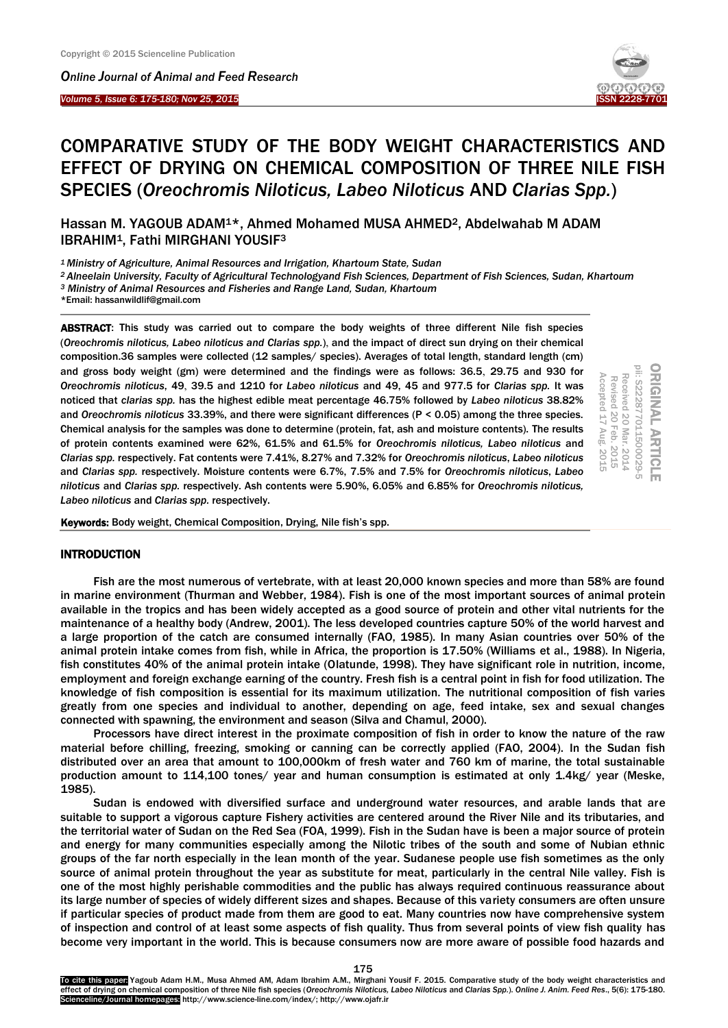I

*Online Journal of A[nimal and](http://www.ojafr.ir/main/) Feed Research Volume 5, Issue 6: 175-180; Nov 25, 2015* 



# COMPARATIVE STUDY OF THE BODY WEIGHT CHARACTERISTICS AND EFFECT OF DRYING ON CHEMICAL COMPOSITION OF THREE NILE FISH SPECIES (*Oreochromis Niloticus, Labeo Niloticus* AND *Clarias Spp.*)

Hassan M. YAGOUB ADAM<sup>1\*</sup>, Ahmed Mohamed MUSA AHMED<sup>2</sup>, Abdelwahab M ADAM IBRAHIM1, Fathi MIRGHANI YOUSIF<sup>3</sup>

*<sup>1</sup> Ministry of Agriculture, Animal Resources and Irrigation, Khartoum State, Sudan*

*<sup>2</sup>Alneelain University, Faculty of Agricultural Technologyand Fish Sciences, Department of Fish Sciences, Sudan, Khartoum*

*<sup>3</sup> Ministry of Animal Resources and Fisheries and Range Land, Sudan, Khartoum*

\*Email: hassanwildlif@gmail.com

ABSTRACT: This study was carried out to compare the body weights of three different Nile fish species (*Oreochromis niloticus, Labeo niloticus and Clarias spp.*), and the impact of direct sun drying on their chemical composition.36 samples were collected (12 samples/ species). Averages of total length, standard length (cm) and gross body weight (gm) were determined and the findings were as follows: 36.5, 29.75 and 930 for *Oreochromis niloticus*, 49, 39.5 and 1210 for *Labeo niloticus* and 49, 45 and 977.5 for *Clarias spp.* It was noticed that *clarias spp.* has the highest edible meat percentage 46.75% followed by *Labeo niloticus* 38.82% and *Oreochromis niloticus* 33.39%, and there were significant differences (P < 0.05) among the three species. Chemical analysis for the samples was done to determine (protein, fat, ash and moisture contents). The results of protein contents examined were 62%, 61.5% and 61.5% for *Oreochromis niloticus, Labeo niloticus* and *Clarias spp.* respectively. Fat contents were 7.41%, 8.27% and 7.32% for *Oreochromis niloticus*, *Labeo niloticus* and *Clarias spp.* respectively. Moisture contents were 6.7%, 7.5% and 7.5% for *Oreochromis niloticus*, *Labeo niloticus* and *Clarias spp.* respectively. Ash contents were 5.90%, 6.05% and 6.85% for *Oreochromis niloticus, Labeo niloticus* and *Clarias spp.* respectively.

ORIGINAL ARTICLE<br>pii: S222877011500029-5 20 Feb. 2015 Accepted 17 Aug. 2015 Received 20 Mar. 2014<br>Revised 20 Feb. 2015 Accepted 17 Aug. 2015 Received 20 Mar. 2014

Keywords: Body weight, Chemical Composition, Drying, Nile fish's spp.

### INTRODUCTION

Fish are the most numerous of vertebrate, with at least 20,000 known species and more than 58% are found in marine environment (Thurman and Webber, 1984). Fish is one of the most important sources of animal protein available in the tropics and has been widely accepted as a good source of protein and other vital nutrients for the maintenance of a healthy body (Andrew, 2001). The less developed countries capture 50% of the world harvest and a large proportion of the catch are consumed internally (FAO, 1985). In many Asian countries over 50% of the animal protein intake comes from fish, while in Africa, the proportion is 17.50% (Williams et al., 1988). In Nigeria, fish constitutes 40% of the animal protein intake (Olatunde, 1998). They have significant role in nutrition, income, employment and foreign exchange earning of the country. Fresh fish is a central point in fish for food utilization. The knowledge of fish composition is essential for its maximum utilization. The nutritional composition of fish varies greatly from one species and individual to another, depending on age, feed intake, sex and sexual changes connected with spawning, the environment and season (Silva and Chamul, 2000).

Processors have direct interest in the proximate composition of fish in order to know the nature of the raw material before chilling, freezing, smoking or canning can be correctly applied (FAO, 2004). In the Sudan fish distributed over an area that amount to 100,000km of fresh water and 760 km of marine, the total sustainable production amount to 114,100 tones/ year and human consumption is estimated at only 1.4kg/ year (Meske, 1985).

Sudan is endowed with diversified surface and underground water resources, and arable lands that are suitable to support a vigorous capture Fishery activities are centered around the River Nile and its tributaries, and the territorial water of Sudan on the Red Sea (FOA, 1999). Fish in the Sudan have is been a major source of protein and energy for many communities especially among the Nilotic tribes of the south and some of Nubian ethnic groups of the far north especially in the lean month of the year. Sudanese people use fish sometimes as the only source of animal protein throughout the year as substitute for meat, particularly in the central Nile valley. Fish is one of the most highly perishable commodities and the public has always required continuous reassurance about its large number of species of widely different sizes and shapes. Because of this variety consumers are often unsure if particular species of product made from them are good to eat. Many countries now have comprehensive system of inspection and control of at least some aspects of fish quality. Thus from several points of view fish quality has become very important in the world. This is because consumers now are more aware of possible food hazards and

To cite this paper: Yagoub Adam H.M., Musa Ahmed AM, Adam Ibrahim A.M., Mirghani Yousif F. 2015. Comparative study of the body weight characteristics and effect of drying on chemical composition of three Nile fish species (*Oreochromis Niloticus, Labeo Niloticus* and *Clarias Spp.*). *Online J. Anim. Feed Res*., 5(6): 175-180. Scienceline/Journal homepages: http://www.science-line.com/index/; http://www.ojafr.ir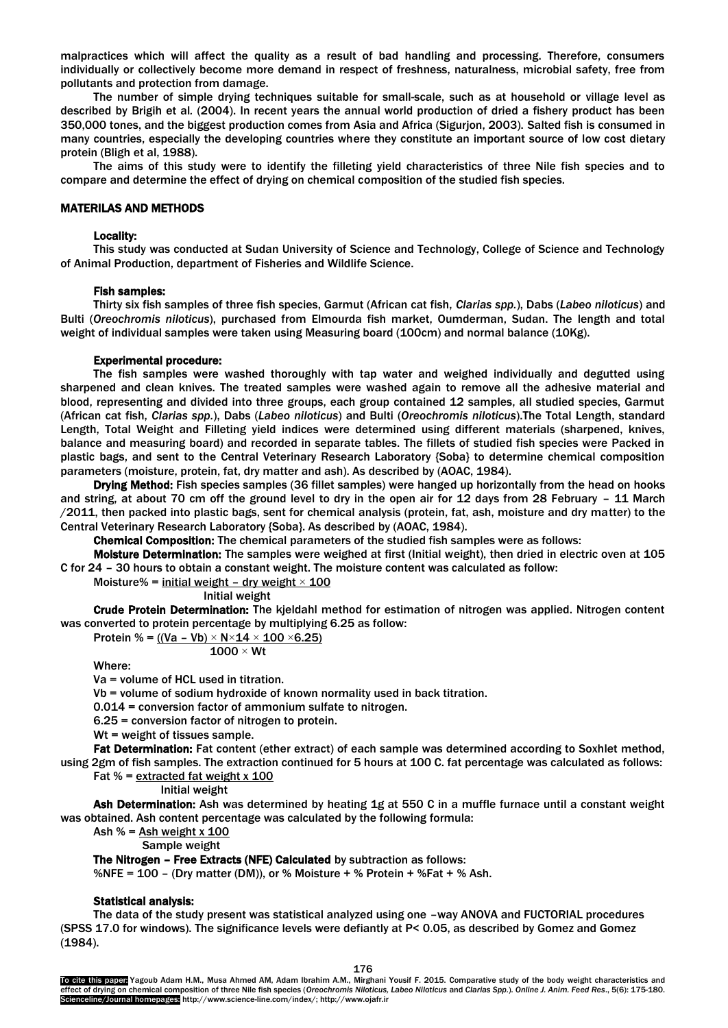malpractices which will affect the quality as a result of bad handling and processing. Therefore, consumers individually or collectively become more demand in respect of freshness, naturalness, microbial safety, free from pollutants and protection from damage.

The number of simple drying techniques suitable for small-scale, such as at household or village level as described by Brigih et al*.* (2004). In recent years the annual world production of dried a fishery product has been 350,000 tones, and the biggest production comes from Asia and Africa (Sigurjon, 2003). Salted fish is consumed in many countries, especially the developing countries where they constitute an important source of low cost dietary protein (Bligh et al, 1988).

The aims of this study were to identify the filleting yield characteristics of three Nile fish species and to compare and determine the effect of drying on chemical composition of the studied fish species.

# MATERILAS AND METHODS

#### Locality:

This study was conducted at Sudan University of Science and Technology, College of Science and Technology of Animal Production, department of Fisheries and Wildlife Science.

### Fish samples:

Thirty six fish samples of three fish species, Garmut (African cat fish, *Clarias spp.*), Dabs (*Labeo niloticus*) and Bulti (*Oreochromis niloticus*), purchased from Elmourda fish market, Oumderman, Sudan. The length and total weight of individual samples were taken using Measuring board (100cm) and normal balance (10Kg).

#### Experimental procedure:

The fish samples were washed thoroughly with tap water and weighed individually and degutted using sharpened and clean knives. The treated samples were washed again to remove all the adhesive material and blood, representing and divided into three groups, each group contained 12 samples, all studied species, Garmut (African cat fish, *Clarias spp.*), Dabs (*Labeo niloticus*) and Bulti (*Oreochromis niloticus*).The Total Length, standard Length, Total Weight and Filleting yield indices were determined using different materials (sharpened, knives, balance and measuring board) and recorded in separate tables. The fillets of studied fish species were Packed in plastic bags, and sent to the Central Veterinary Research Laboratory {Soba} to determine chemical composition parameters (moisture, protein, fat, dry matter and ash). As described by (AOAC, 1984).

Drying Method: Fish species samples (36 fillet samples) were hanged up horizontally from the head on hooks and string, at about 70 cm off the ground level to dry in the open air for 12 days from 28 February – 11 March /2011, then packed into plastic bags, sent for chemical analysis (protein, fat, ash, moisture and dry matter) to the Central Veterinary Research Laboratory {Soba}. As described by (AOAC, 1984).

Chemical Composition: The chemical parameters of the studied fish samples were as follows:

Moisture Determination: The samples were weighed at first (Initial weight), then dried in electric oven at 105 C for 24 – 30 hours to obtain a constant weight. The moisture content was calculated as follow:

Moisture% = initial weight - dry weight  $\times$  100

Initial weight

Crude Protein Determination: The kjeldahl method for estimation of nitrogen was applied. Nitrogen content was converted to protein percentage by multiplying 6.25 as follow:

Protein % = 
$$
((Va - Vb) \times N \times 14 \times 100 \times 6.25)
$$

$$
1000\times Wt
$$

Where:

Va = volume of HCL used in titration.

Vb = volume of sodium hydroxide of known normality used in back titration.

0.014 = conversion factor of ammonium sulfate to nitrogen.

6.25 = conversion factor of nitrogen to protein.

Wt = weight of tissues sample.

Fat Determination: Fat content (ether extract) of each sample was determined according to Soxhlet method, using 2gm of fish samples. The extraction continued for 5 hours at 100 C. fat percentage was calculated as follows:

Fat  $% =$  extracted fat weight x 100

Initial weight

Ash Determination: Ash was determined by heating 1g at 550 C in a muffle furnace until a constant weight was obtained. Ash content percentage was calculated by the following formula:

Ash  $% =$  Ash weight x 100

Sample weight

The Nitrogen – Free Extracts (NFE) Calculated by subtraction as follows:

%NFE =  $100$  - (Dry matter (DM)), or % Moisture + % Protein + %Fat + % Ash.

# Statistical analysis:

The data of the study present was statistical analyzed using one –way ANOVA and FUCTORIAL procedures (SPSS 17.0 for windows). The significance levels were defiantly at P< 0.05, as described by Gomez and Gomez (1984).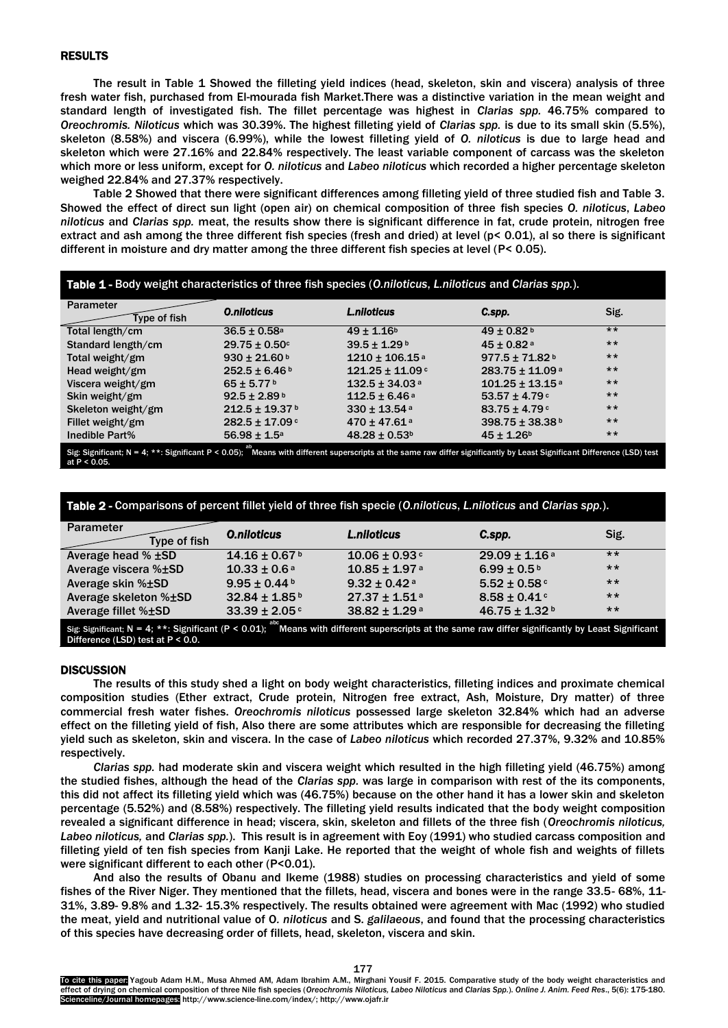# RESULTS

The result in Table 1 Showed the filleting yield indices (head, skeleton, skin and viscera) analysis of three fresh water fish, purchased from El-mourada fish Market.There was a distinctive variation in the mean weight and standard length of investigated fish. The fillet percentage was highest in *Clarias spp.* 46.75% compared to *Oreochromis. Niloticus* which was 30.39%. The highest filleting yield of *Clarias spp.* is due to its small skin (5.5%), skeleton (8.58%) and viscera (6.99%), while the lowest filleting yield of *O. niloticus* is due to large head and skeleton which were 27.16% and 22.84% respectively. The least variable component of carcass was the skeleton which more or less uniform, except for *O. niloticus* and *Labeo niloticus* which recorded a higher percentage skeleton weighed 22.84% and 27.37% respectively.

Table 2 Showed that there were significant differences among filleting yield of three studied fish and Table 3. Showed the effect of direct sun light (open air) on chemical composition of three fish species *O. niloticus*, *Labeo niloticus* and *Clarias spp.* meat, the results show there is significant difference in fat, crude protein, nitrogen free extract and ash among the three different fish species (fresh and dried) at level (p< 0.01), al so there is significant different in moisture and dry matter among the three different fish species at level (P< 0.05).

| Table 1 - Body weight characteristics of three fish species (O.niloticus, L.niloticus and Clarias spp.).                                                                      |                                |                                 |                                 |       |  |  |  |
|-------------------------------------------------------------------------------------------------------------------------------------------------------------------------------|--------------------------------|---------------------------------|---------------------------------|-------|--|--|--|
| Parameter<br>Type of fish                                                                                                                                                     | <b>O.niloticus</b>             | <b>L.niloticus</b>              | C.spp.                          | Sig.  |  |  |  |
| Total length/cm                                                                                                                                                               | $36.5 \pm 0.58$ <sup>a</sup>   | $49 \pm 1.16^b$                 | $49 \pm 0.82$ <sup>b</sup>      | $***$ |  |  |  |
| Standard length/cm                                                                                                                                                            | $29.75 \pm 0.50$ c             | $39.5 \pm 1.29$ <sup>b</sup>    | $45 \pm 0.82$ <sup>a</sup>      | $***$ |  |  |  |
| Total weight/gm                                                                                                                                                               | $930 \pm 21.60$ b              | $1210 \pm 106.15$ <sup>a</sup>  | $977.5 \pm 71.82$ <sup>b</sup>  | $***$ |  |  |  |
| Head weight/gm                                                                                                                                                                | $252.5 \pm 6.46$ <sup>b</sup>  | $121.25 \pm 11.09$ <sup>c</sup> | $283.75 \pm 11.09$ <sup>a</sup> | $***$ |  |  |  |
| Viscera weight/gm                                                                                                                                                             | $65 \pm 5.77$ <sup>b</sup>     | $132.5 \pm 34.03$ <sup>a</sup>  | $101.25 \pm 13.15$ <sup>a</sup> | $***$ |  |  |  |
| Skin weight/gm                                                                                                                                                                | $92.5 \pm 2.89^{\text{ b}}$    | $112.5 \pm 6.46$ <sup>a</sup>   | $53.57 \pm 4.79$                | $***$ |  |  |  |
| Skeleton weight/gm                                                                                                                                                            | $212.5 \pm 19.37$ <sup>b</sup> | $330 \pm 13.54$ <sup>a</sup>    | $83.75 \pm 4.79$ <sup>c</sup>   | $***$ |  |  |  |
| Fillet weight/gm                                                                                                                                                              | $282.5 \pm 17.09$ <sup>c</sup> | $470 \pm 47.61$ <sup>a</sup>    | 398.75 ± 38.38 b                | $***$ |  |  |  |
| Inedible Part%                                                                                                                                                                | $56.98 \pm 1.5^{\circ}$        | $48.28 \pm 0.53$ <sup>b</sup>   | $45 \pm 1.26$ <sup>b</sup>      | $***$ |  |  |  |
| Sig. Significant: N = 4: **: Significant P < 0.05); $^{ab}$ Means with different superscripts at the same raw differ significantly by Least Significant Difference (LSD) test |                                |                                 |                                 |       |  |  |  |

Sig: Significant;  $N = 4$ ;  $**$ : Significant  $P < 0.05$ ); Means with different superscripts at the same raw differ significantly by Least Significant Difference (LSD) test at P < 0.05.

| <b>Parameter</b><br>Type of fish                                                                                                                                | <b>O.niloticus</b>            | <b>L.niloticus</b>            | C.spp.                        | Sig.  |  |  |
|-----------------------------------------------------------------------------------------------------------------------------------------------------------------|-------------------------------|-------------------------------|-------------------------------|-------|--|--|
| Average head $%$ $±SD$                                                                                                                                          | $14.16 \pm 0.67$ b            | $10.06 \pm 0.93$ <sup>c</sup> | $29.09 \pm 1.16$ <sup>a</sup> | $***$ |  |  |
| Average viscera %±SD                                                                                                                                            | $10.33 \pm 0.6$ <sup>a</sup>  | $10.85 \pm 1.97$ <sup>a</sup> | $6.99 \pm 0.5^{\,\mathrm{b}}$ | $***$ |  |  |
| Average skin %±SD                                                                                                                                               | $9.95 \pm 0.44$ b             | $9.32 \pm 0.42$ <sup>a</sup>  | $5.52 \pm 0.58$               | $***$ |  |  |
| Average skeleton %±SD                                                                                                                                           | $32.84 \pm 1.85^{\text{b}}$   | $27.37 \pm 1.51$ <sup>a</sup> | $8.58 \pm 0.41$               | $***$ |  |  |
| Average fillet %±SD                                                                                                                                             | $33.39 \pm 2.05$ <sup>c</sup> | 38.82 ± 1.29 <sup>a</sup>     | $46.75 \pm 1.32$              | $***$ |  |  |
| Sig: Significant; N = 4; **: Significant (P < 0.01); <sup>abc</sup> Means with different superscripts at the same raw differ significantly by Least Significant |                               |                               |                               |       |  |  |

Difference (LSD) test at P < 0.0.

# **DISCUSSION**

The results of this study shed a light on body weight characteristics, filleting indices and proximate chemical composition studies (Ether extract, Crude protein, Nitrogen free extract, Ash, Moisture, Dry matter) of three commercial fresh water fishes. *Oreochromis niloticus* possessed large skeleton 32.84% which had an adverse effect on the filleting yield of fish, Also there are some attributes which are responsible for decreasing the filleting yield such as skeleton, skin and viscera. In the case of *Labeo niloticus* which recorded 27.37%, 9.32% and 10.85% respectively.

*Clarias spp.* had moderate skin and viscera weight which resulted in the high filleting yield (46.75%) among the studied fishes, although the head of the *Clarias spp.* was large in comparison with rest of the its components, this did not affect its filleting yield which was (46.75%) because on the other hand it has a lower skin and skeleton percentage (5.52%) and (8.58%) respectively. The filleting yield results indicated that the body weight composition revealed a significant difference in head; viscera, skin, skeleton and fillets of the three fish (*Oreochromis niloticus, Labeo niloticus,* and *Clarias spp.*). This result is in agreement with Eoy (1991) who studied carcass composition and filleting yield of ten fish species from Kanji Lake. He reported that the weight of whole fish and weights of fillets were significant different to each other (P<0.01).

And also the results of Obanu and Ikeme (1988) studies on processing characteristics and yield of some fishes of the River Niger. They mentioned that the fillets, head, viscera and bones were in the range 33.5- 68%, 11-31%, 3.89- 9.8% and 1.32- 15.3% respectively. The results obtained were agreement with Mac (1992) who studied the meat, yield and nutritional value of O*. niloticus* and S. *galilaeous*, and found that the processing characteristics of this species have decreasing order of fillets, head, skeleton, viscera and skin.

To cite this paper: Yagoub Adam H.M., Musa Ahmed AM, Adam Ibrahim A.M., Mirghani Yousif F. 2015. Comparative study of the body weight characteristics and effect of drying on chemical composition of three Nile fish species (*Oreochromis Niloticus, Labeo Niloticus* and *Clarias Spp.*). *Online J. Anim. Feed Res*., 5(6): 175-180. Scienceline/Journal homepages: http://www.science-line.com/index/; http://www.ojafr.ir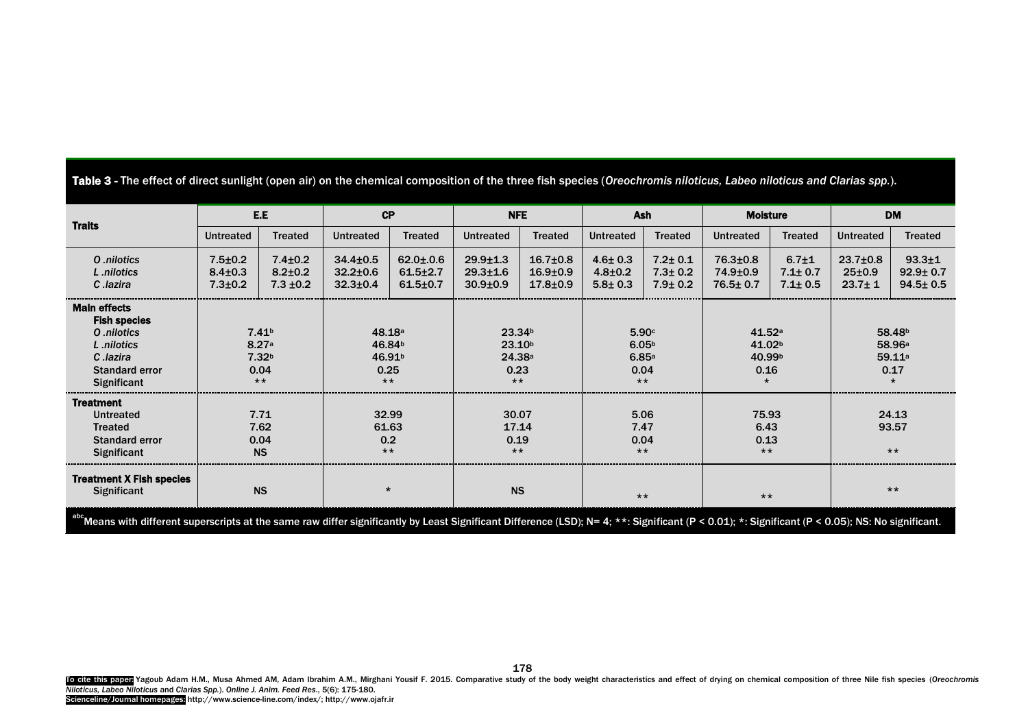Table 3 - The effect of direct sunlight (open air) on the chemical composition of the three fish species (*Oreochromis niloticus, Labeo niloticus and Clarias spp.*).

| <b>Traits</b>                                                                                                                | E.E                                             |                                                                  | CP                                                                  |                                                    | <b>NFE</b>                                                          |                                                  | Ash                                                  |                                                 | <b>Moisture</b>                                            |                                               | <b>DM</b>                                      |                                                                       |
|------------------------------------------------------------------------------------------------------------------------------|-------------------------------------------------|------------------------------------------------------------------|---------------------------------------------------------------------|----------------------------------------------------|---------------------------------------------------------------------|--------------------------------------------------|------------------------------------------------------|-------------------------------------------------|------------------------------------------------------------|-----------------------------------------------|------------------------------------------------|-----------------------------------------------------------------------|
|                                                                                                                              | <b>Untreated</b>                                | <b>Treated</b>                                                   | <b>Untreated</b>                                                    | <b>Treated</b>                                     | <b>Untreated</b>                                                    | <b>Treated</b>                                   | Untreated                                            | <b>Treated</b>                                  | <b>Untreated</b>                                           | <b>Treated</b>                                | <b>Untreated</b>                               | <b>Treated</b>                                                        |
| O .nilotics<br>L .nilotics<br>C.lazira                                                                                       | $7.5 \pm 0.2$<br>$8.4 \pm 0.3$<br>$7.3 \pm 0.2$ | $7.4 \pm 0.2$<br>$8.2 \pm 0.2$<br>$7.3 \pm 0.2$                  | $34.4 \pm 0.5$<br>$32.2 \pm 0.6$<br>$32.3 \pm 0.4$                  | $62.0 \pm 0.6$<br>$61.5 \pm 2.7$<br>$61.5 \pm 0.7$ | $29.9 \pm 1.3$<br>$29.3 \pm 1.6$<br>$30.9{\pm}0.9$                  | $16.7{\pm}0.8$<br>$16.9 + 0.9$<br>$17.8 \pm 0.9$ | $4.6 \pm 0.3$<br>$4.8 \pm 0.2$<br>$5.8 \pm 0.3$      | $7.2 \pm 0.1$<br>$7.3 \pm 0.2$<br>$7.9 \pm 0.2$ | $76.3{\pm}0.8$<br>74.9±0.9<br>76.5±0.7                     | $6.7{\pm}1$<br>$7.1 \pm 0.7$<br>$7.1 \pm 0.5$ | $23.7 \pm 0.8$<br>$25 \pm 0.9$<br>$23.7 \pm 1$ | $93.3 + 1$<br>$92.9 \pm 0.7$<br>$94.5 \pm 0.5$                        |
| <b>Main effects</b><br><b>Fish species</b><br>O .nilotics<br>L .nilotics<br>C lazira<br><b>Standard error</b><br>Significant |                                                 | 7.41 <sup>b</sup><br>8.27a<br>7.32 <sup>b</sup><br>0.04<br>$***$ | 48.18a<br>46.84 <sup>b</sup><br>46.91 <sup>b</sup><br>0.25<br>$***$ |                                                    | 23.34 <sup>b</sup><br>23.10 <sup>b</sup><br>24.38a<br>0.23<br>$***$ |                                                  | 5.90c<br>6.05 <sup>b</sup><br>6.85a<br>0.04<br>$***$ |                                                 | 41.52a<br>41.02 <sup>b</sup><br>40.99 <sup>b</sup><br>0.16 |                                               |                                                | 58.48 <sup>b</sup><br>58.96 <sup>a</sup><br>59.11a<br>0.17<br>$\star$ |
| <b>Treatment</b><br><b>Untreated</b><br><b>Treated</b><br><b>Standard error</b><br><b>Significant</b>                        |                                                 | 7.71<br>7.62<br>0.04<br><b>NS</b>                                | 32.99<br>61.63<br>0.2<br>$***$                                      |                                                    | 30.07<br>17.14<br>0.19<br>$***$                                     |                                                  | 5.06<br>7.47<br>0.04<br>$***$                        |                                                 | 75.93<br>6.43<br>0.13<br>$***$                             |                                               |                                                | 24.13<br>93.57<br>$***$                                               |
| <b>Treatment X Fish species</b><br>Significant                                                                               |                                                 | <b>NS</b>                                                        | $\star$                                                             |                                                    | <b>NS</b>                                                           |                                                  | $***$                                                |                                                 | $***$                                                      |                                               |                                                | $***$                                                                 |

 $^{\circ}$ Means with different superscripts at the same raw differ significantly by Least Significant Difference (LSD); N= 4; \*\*: Significant (P < 0.01); \*: Significant (P < 0.05); NS: No significant.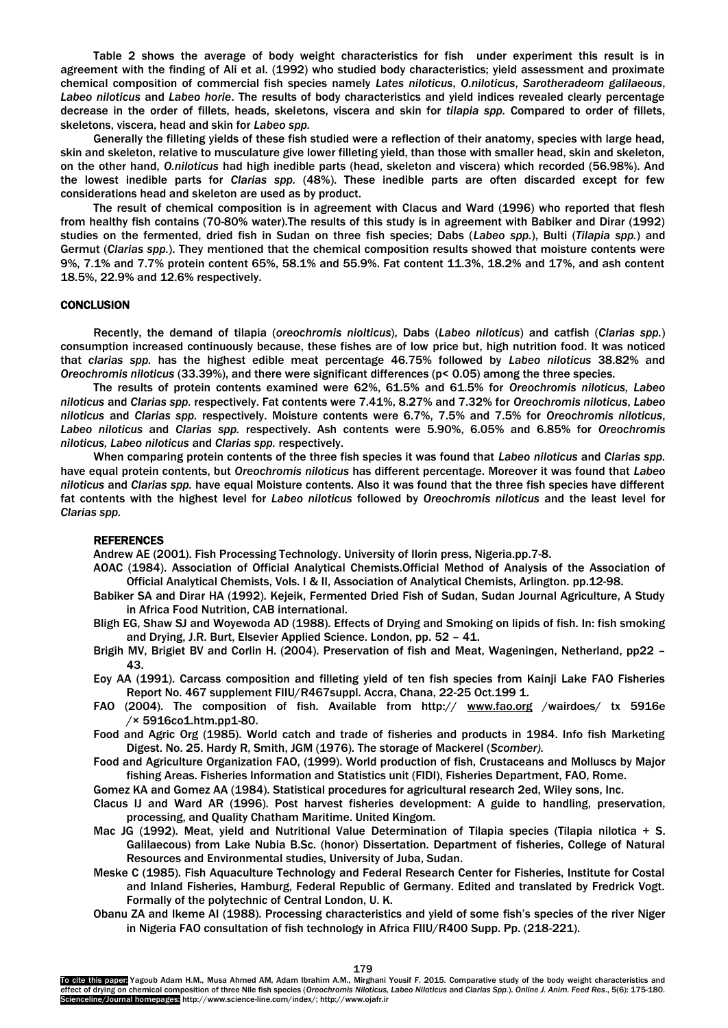Table 2 shows the average of body weight characteristics for fish under experiment this result is in agreement with the finding of Ali et al. (1992) who studied body characteristics; yield assessment and proximate chemical composition of commercial fish species namely *Lates niloticus*, *O.niloticus*, *Sarotheradeom galilaeous*, *Labeo niloticus* and *Labeo horie*. The results of body characteristics and yield indices revealed clearly percentage decrease in the order of fillets, heads, skeletons, viscera and skin for *tilapia spp.* Compared to order of fillets, skeletons, viscera, head and skin for *Labeo spp.* 

Generally the filleting yields of these fish studied were a reflection of their anatomy, species with large head, skin and skeleton, relative to musculature give lower filleting yield, than those with smaller head, skin and skeleton, on the other hand, *O.niloticus* had high inedible parts (head, skeleton and viscera) which recorded (56.98%). And the lowest inedible parts for *Clarias spp.* (48%). These inedible parts are often discarded except for few considerations head and skeleton are used as by product.

The result of chemical composition is in agreement with Clacus and Ward (1996) who reported that flesh from healthy fish contains (70-80% water).The results of this study is in agreement with Babiker and Dirar (1992) studies on the fermented, dried fish in Sudan on three fish species; Dabs (*Labeo spp.*), Bulti (*Tilapia spp.*) and Germut (*Clarias spp.*). They mentioned that the chemical composition results showed that moisture contents were 9%, 7.1% and 7.7% protein content 65%, 58.1% and 55.9%. Fat content 11.3%, 18.2% and 17%, and ash content 18.5%, 22.9% and 12.6% respectively.

#### **CONCLUSION**

Recently, the demand of tilapia (*oreochromis niolticus*), Dabs (*Labeo niloticus*) and catfish (*Clarias spp.*) consumption increased continuously because, these fishes are of low price but, high nutrition food. It was noticed that *clarias spp.* has the highest edible meat percentage 46.75% followed by *Labeo niloticus* 38.82% and *Oreochromis niloticus* (33.39%), and there were significant differences (p< 0.05) among the three species.

The results of protein contents examined were 62%, 61.5% and 61.5% for *Oreochromis niloticus, Labeo niloticus* and *Clarias spp.* respectively. Fat contents were 7.41%, 8.27% and 7.32% for *Oreochromis niloticus*, *Labeo niloticus* and *Clarias spp.* respectively. Moisture contents were 6.7%, 7.5% and 7.5% for *Oreochromis niloticus*, *Labeo niloticus* and *Clarias spp.* respectively. Ash contents were 5.90%, 6.05% and 6.85% for *Oreochromis niloticus, Labeo niloticus* and *Clarias spp.* respectively.

When comparing protein contents of the three fish species it was found that *Labeo niloticus* and *Clarias spp.* have equal protein contents, but *Oreochromis niloticus* has different percentage. Moreover it was found that *Labeo niloticus* and *Clarias spp.* have equal Moisture contents. Also it was found that the three fish species have different fat contents with the highest level for *Labeo niloticus* followed by *Oreochromis niloticus* and the least level for *Clarias spp.*

#### REFERENCES

Andrew AE (2001). Fish Processing Technology. University of Ilorin press, Nigeria.pp.7-8.

- AOAC (1984). Association of Official Analytical Chemists.Official Method of Analysis of the Association of Official Analytical Chemists, Vols. I & II, Association of Analytical Chemists, Arlington. pp.12-98.
- Babiker SA and Dirar HA (1992). Kejeik, Fermented Dried Fish of Sudan, Sudan Journal Agriculture, A Study in Africa Food Nutrition, CAB international.
- Bligh EG, Shaw SJ and Woyewoda AD (1988). Effects of Drying and Smoking on lipids of fish. In: fish smoking and Drying, J.R. Burt, Elsevier Applied Science. London, pp. 52 – 41.
- Brigih MV, Brigiet BV and Corlin H. (2004). Preservation of fish and Meat, Wageningen, Netherland, pp22 43.
- Eoy AA (1991). Carcass composition and filleting yield of ten fish species from Kainji Lake FAO Fisheries Report No. 467 supplement FIIU/R467suppl. Accra, Chana, 22-25 Oct.199 1.
- FAO (2004). The composition of fish. Available from http:// [www.fao.org](http://www.fao.org/) /wairdoes/ tx 5916e /× 5916co1.htm.pp1-80.
- Food and Agric Org (1985). World catch and trade of fisheries and products in 1984. Info fish Marketing Digest. No. 25. Hardy R, Smith, JGM (1976). The storage of Mackerel (*Scomber).*

Food and Agriculture Organization FAO, (1999). World production of fish, Crustaceans and Molluscs by Major fishing Areas. Fisheries Information and Statistics unit (FIDI), Fisheries Department, FAO, Rome.

Gomez KA and Gomez AA (1984). Statistical procedures for agricultural research 2ed, Wiley sons, Inc.

- Clacus IJ and Ward AR (1996). Post harvest fisheries development: A guide to handling, preservation, processing, and Quality Chatham Maritime. United Kingom.
- Mac JG (1992). Meat, yield and Nutritional Value Determination of Tilapia species (Tilapia nilotica + S. Galilaecous) from Lake Nubia B.Sc. (honor) Dissertation. Department of fisheries, College of Natural Resources and Environmental studies, University of Juba, Sudan.
- Meske C (1985). Fish Aquaculture Technology and Federal Research Center for Fisheries, Institute for Costal and Inland Fisheries, Hamburg, Federal Republic of Germany. Edited and translated by Fredrick Vogt. Formally of the polytechnic of Central London, U. K.
- Obanu ZA and Ikeme AI (1988). Processing characteristics and yield of some fish's species of the river Niger in Nigeria FAO consultation of fish technology in Africa FIIU/R400 Supp. Pp. (218-221).